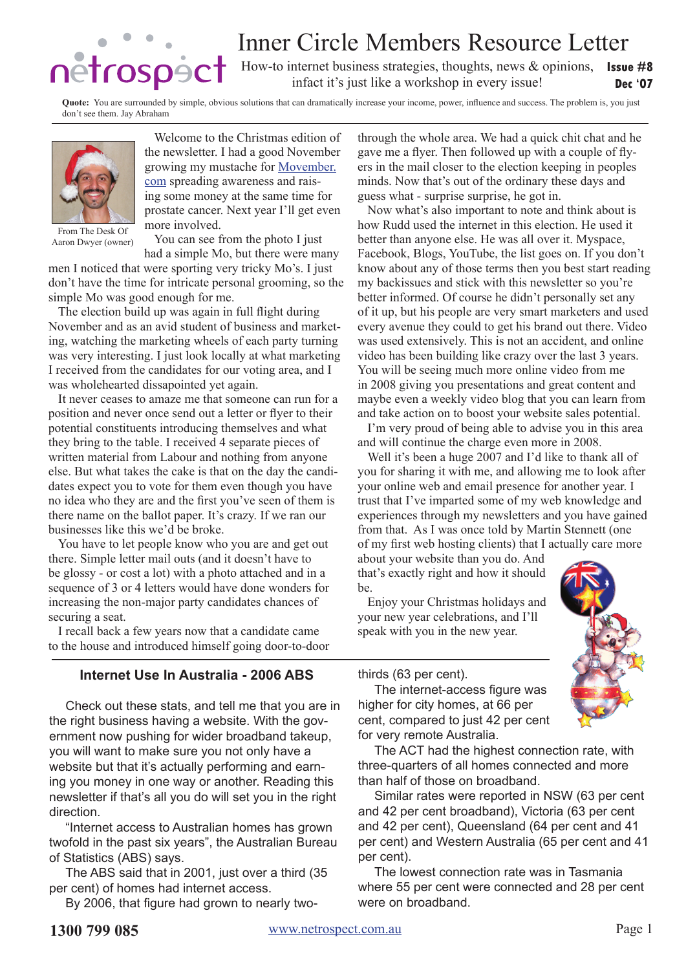# Inner Circle Members Resource Letter

How-to internet business strategies, thoughts, news & opinions, **Issue #8 Dec '07** infact it's just like a workshop in every issue!

**Quote:** You are surrounded by simple, obvious solutions that can dramatically increase your income, power, influence and success. The problem is, you just don't see them. Jay Abraham



From The Desk Of Aaron Dwyer (owner)

prostate cancer. Next year I'll get even more involved.

You can see from the photo I just

Welcome to the Christmas edition of the newsletter. I had a good November growing my mustache for [Movember.](http://movember.com) [com](http://movember.com) spreading awareness and raising some money at the same time for

had a simple Mo, but there were many men I noticed that were sporting very tricky Mo's. I just don't have the time for intricate personal grooming, so the simple Mo was good enough for me.

The election build up was again in full flight during November and as an avid student of business and marketing, watching the marketing wheels of each party turning was very interesting. I just look locally at what marketing I received from the candidates for our voting area, and I was wholehearted dissapointed yet again.

It never ceases to amaze me that someone can run for a position and never once send out a letter or flyer to their potential constituents introducing themselves and what they bring to the table. I received 4 separate pieces of written material from Labour and nothing from anyone else. But what takes the cake is that on the day the candidates expect you to vote for them even though you have no idea who they are and the first you've seen of them is there name on the ballot paper. It's crazy. If we ran our businesses like this we'd be broke.

You have to let people know who you are and get out there. Simple letter mail outs (and it doesn't have to be glossy - or cost a lot) with a photo attached and in a sequence of 3 or 4 letters would have done wonders for increasing the non-major party candidates chances of securing a seat.

I recall back a few years now that a candidate came to the house and introduced himself going door-to-door

# **Internet Use In Australia - 2006 ABS**

Check out these stats, and tell me that you are in the right business having a website. With the government now pushing for wider broadband takeup, you will want to make sure you not only have a website but that it's actually performing and earning you money in one way or another. Reading this newsletter if that's all you do will set you in the right direction.

"Internet access to Australian homes has grown twofold in the past six years", the Australian Bureau of Statistics (ABS) says.

The ABS said that in 2001, just over a third (35 per cent) of homes had internet access.

By 2006, that figure had grown to nearly two-

through the whole area. We had a quick chit chat and he gave me a flyer. Then followed up with a couple of flyers in the mail closer to the election keeping in peoples minds. Now that's out of the ordinary these days and guess what - surprise surprise, he got in.

Now what's also important to note and think about is how Rudd used the internet in this election. He used it better than anyone else. He was all over it. Myspace, Facebook, Blogs, YouTube, the list goes on. If you don't know about any of those terms then you best start reading my backissues and stick with this newsletter so you're better informed. Of course he didn't personally set any of it up, but his people are very smart marketers and used every avenue they could to get his brand out there. Video was used extensively. This is not an accident, and online video has been building like crazy over the last 3 years. You will be seeing much more online video from me in 2008 giving you presentations and great content and maybe even a weekly video blog that you can learn from and take action on to boost your website sales potential.

I'm very proud of being able to advise you in this area and will continue the charge even more in 2008.

Well it's been a huge 2007 and I'd like to thank all of you for sharing it with me, and allowing me to look after your online web and email presence for another year. I trust that I've imparted some of my web knowledge and experiences through my newsletters and you have gained from that. As I was once told by Martin Stennett (one of my first web hosting clients) that I actually care more

about your website than you do. And that's exactly right and how it should be.

Enjoy your Christmas holidays and your new year celebrations, and I'll speak with you in the new year.



thirds (63 per cent).

The internet-access figure was higher for city homes, at 66 per cent, compared to just 42 per cent for very remote Australia.

The ACT had the highest connection rate, with three-quarters of all homes connected and more than half of those on broadband.

Similar rates were reported in NSW (63 per cent and 42 per cent broadband), Victoria (63 per cent and 42 per cent), Queensland (64 per cent and 41 per cent) and Western Australia (65 per cent and 41 per cent).

The lowest connection rate was in Tasmania where 55 per cent were connected and 28 per cent were on broadband.